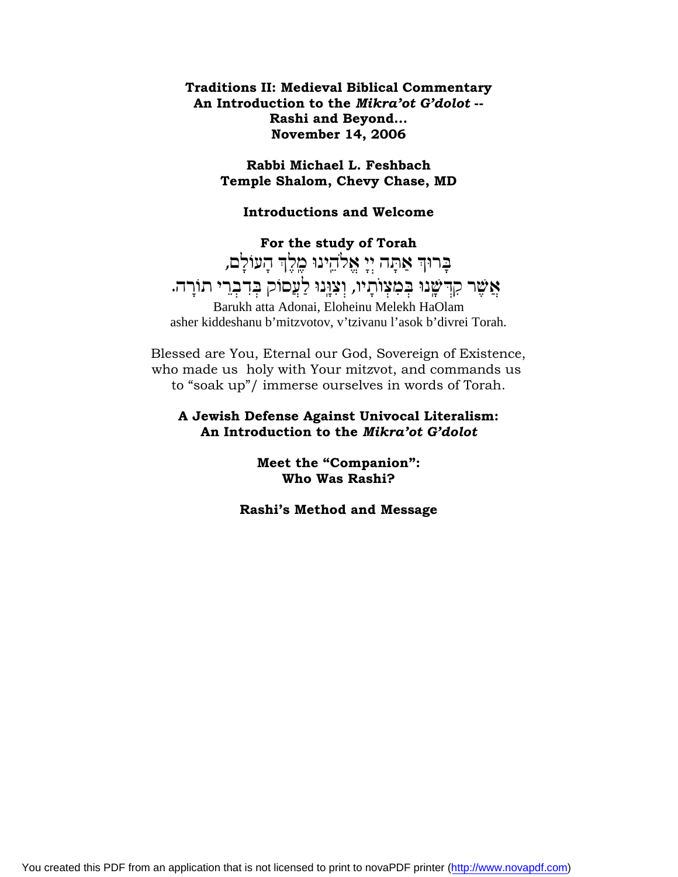**Traditions II: Medieval Biblical Commentary An Introduction to the** *Mikra'ot G'dolot* **-- Rashi and Beyond... November 14, 2006**

> **Rabbi Michael L. Feshbach Temple Shalom, Chevy Chase, MD**

**Introductions and Welcome**

**For the study of Torah** בְרוּךְ אַתָּה יִיָ אֱלֹהֵינוּ כֵוְלֶךְ הָעוֹלָם, אֲשֶׁר קִדְּשָׂנוּ בְּמִצְוֹתְיו, וְצִוְנוּ לַעֲסוֹק בְּדִבְרֵי תוֹרָה. Barukh atta Adonai, Eloheinu Melekh HaOlam asher kiddeshanu b'mitzvotov, v'tzivanu l'asok b'divrei Torah.

Blessed are You, Eternal our God, Sovereign of Existence, who made us holy with Your mitzvot, and commands us to "soak up"/ immerse ourselves in words of Torah.

### **A Jewish Defense Against Univocal Literalism: An Introduction to the** *Mikra'ot G'dolot*

**Meet the "Companion": Who Was Rashi?**

**Rashi's Method and Message**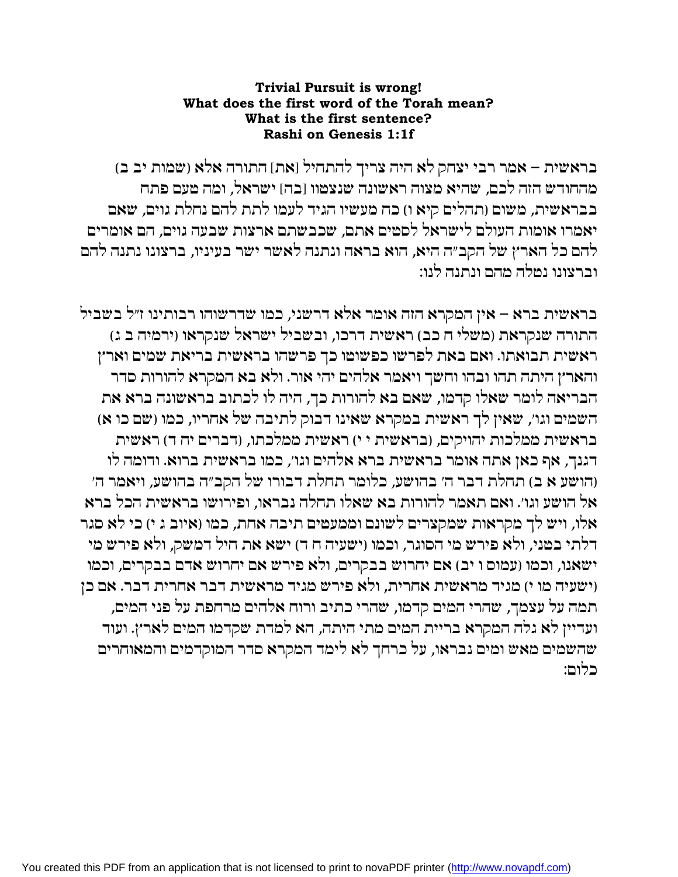## **Trivial Pursuit is wrong!** What does the first word of the Torah mean? What is the first sentence? Rashi on Genesis 1:1f

בראשית – אמר רבי יצחק לא היה צריך להתחיל [את] התורה אלא (שמות יב ב) מהחודש הזה לכם, שהיא מצוה ראשונה שנצמוו [בה] ישראל, ומה מעם פתח בבראשית, משום (תהלים קיא ו) כח מעשיו הגיד לעמו לתת להם נחלת גוים, שאם יאמרו אומות העולם לישראל לסטים אתם, שכבשתם ארצות שבעה גוים, הם אומרים להם כל הארץ של הקב״ה היא, הוא בראה ונתנה לאשר ישר בעיניו, ברצונו נתנה להם וברצונו נמלה מהם ונתנה לנו:

בראשית ברא – אין המקרא הזה אומר אלא דרשני, כמו שדרשוהו רבותינו ז״ל בשביל התורה שנקראת (משלי ח כב) ראשית דרכו, ובשביל ישראל שנקראו (ירמיה ב ג) ראשית תבואתו. ואם באת לפרשו כפשוטו כך פרשהו בראשית בריאת שמים וארץ והארץ היתה תהו ובהו וחשך ויאמר אלהים יהי אור. ולא בא המקרא להורות סדר הבריאה לומר שאלו קדמו, שאם בא להורות כך, היה לו לכתוב בראשונה ברא את השמים וגו׳, שאין לך ראשית במקרא שאינו דבוק לתיבה של אחריו, כמו (שם כו א) בראשית ממלכות יהויקים, (בראשית י י) ראשית ממלכתו, (דברים יח ד) ראשית דגנך, אף כאן אתה אומר בראשית ברא אלהים וגו׳, כמו בראשית ברוא. ודומה לו (הושע א ב) תחלת דבר ה׳ בהושע, כלומר תחלת דבורו של הקב״ה בהושע, ויאמר ה׳ אל הושע וגו׳. ואם תאמר להורות בא שאלו תחלה נבראו, ופירושו בראשית הכל ברא אלו, ויש לך מקראות שמקצרים לשונם וממעטים תיבה אחת, כמו (איוב ג י) כי לא סגר דלתי במני, ולא פירש מי הסוגר, וכמו (ישעיה ח ד) ישא את חיל דמשק, ולא פירש מי ישאנו, וכמו (עמוס ו יב) אם יחרוש בבקרים, ולא פירש אם יחרוש אדם בבקרים, וכמו וישעיה מו י) מגיד מראשית אחרית, ולא פירש מגיד מראשית דבר אחרית דבר. אם כן תמה על עצמך, שהרי המים קדמו, שהרי כתיב ורוח אלהים מרחפת על פני המים, ועדיין לא גלה המקרא בריית המים מתי היתה, הא למדת שקדמו המים לארץ. ועוד שהשמים מאש ומים נבראו, על כרחך לא לימד המקרא סדר המוקדמים והמאוחרים כלום: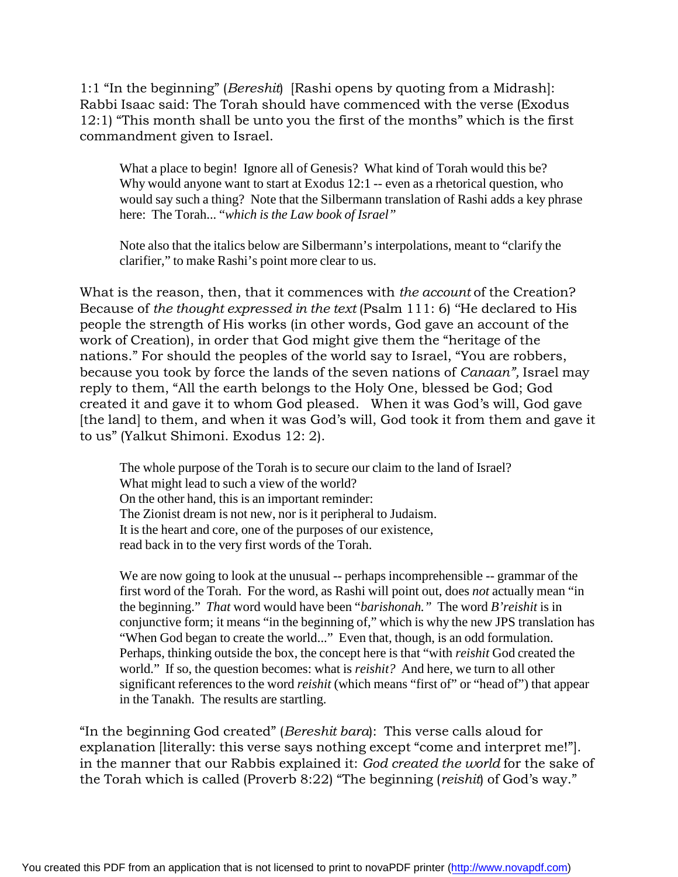1:1 "In the beginning" (*Bereshit*) [Rashi opens by quoting from a Midrash]: Rabbi Isaac said: The Torah should have commenced with the verse (Exodus 12:1) "This month shall be unto you the first of the months" which is the first commandment given to Israel.

What a place to begin! Ignore all of Genesis? What kind of Torah would this be? Why would anyone want to start at Exodus 12:1 -- even as a rhetorical question, who would say such a thing? Note that the Silbermann translation of Rashi adds a key phrase here: The Torah... "*which is the Law book of Israel"*

Note also that the italics below are Silbermann's interpolations, meant to "clarify the clarifier," to make Rashi's point more clear to us.

What is the reason, then, that it commences with *the account* of the Creation? Because of *the thought expressed in the text* (Psalm 111: 6) ''He declared to His people the strength of His works (in other words, God gave an account of the work of Creation), in order that God might give them the "heritage of the nations." For should the peoples of the world say to Israel, "You are robbers, because you took by force the lands of the seven nations of *Canaan",* Israel may reply to them, "All the earth belongs to the Holy One, blessed be God; God created it and gave it to whom God pleased. When it was God's will, God gave [the land] to them, and when it was God's will, God took it from them and gave it to us" (Yalkut Shimoni. Exodus 12: 2).

The whole purpose of the Torah is to secure our claim to the land of Israel? What might lead to such a view of the world? On the other hand, this is an important reminder: The Zionist dream is not new, nor is it peripheral to Judaism. It is the heart and core, one of the purposes of our existence, read back in to the very first words of the Torah.

We are now going to look at the unusual -- perhaps incomprehensible -- grammar of the first word of the Torah. For the word, as Rashi will point out, does *not* actually mean "in the beginning." *That* word would have been "*barishonah."* The word *B'reishit* is in conjunctive form; it means "in the beginning of," which is why the new JPS translation has "When God began to create the world..." Even that, though, is an odd formulation. Perhaps, thinking outside the box, the concept here is that "with *reishit* God created the world." If so, the question becomes: what is *reishit?* And here, we turn to all other significant references to the word *reishit* (which means "first of" or "head of") that appear in the Tanakh. The results are startling.

"In the beginning God created" (*Bereshit bara*): This verse calls aloud for explanation [literally: this verse says nothing except "come and interpret me!"]. in the manner that our Rabbis explained it: *God created the world* for the sake of the Torah which is called (Proverb 8:22) "The beginning (*reishit*) of God's way."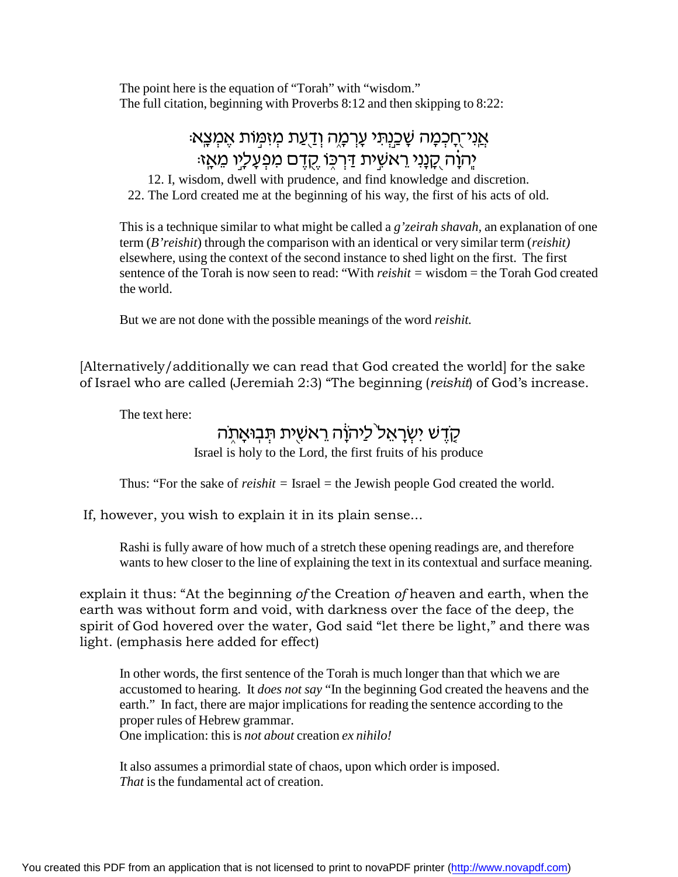The point here is the equation of "Torah" with "wisdom." The full citation, beginning with Proverbs 8:12 and then skipping to 8:22:

# : אֲנִי־חֲכִמָּה שָׁכֵנִתִּי עָרְמָה וְדַעֲת מִזְמְוֹת אֵמִצֶא יָהוָה <u>קָנָנִי ר</u>אשִׁית דַּרְכֶּוֹ <u>קָד</u>ֶם מִפְעָלָיו מֵאָזּ:

12. I, wisdom, dwell with prudence, and find knowledge and discretion. 22. The Lord created me at the beginning of his way, the first of his acts of old.

This is a technique similar to what might be called a *g'zeirah shavah,* an explanation of one term (*B'reishit*) through the comparison with an identical or very similar term (*reishit)* elsewhere, using the context of the second instance to shed light on the first. The first sentence of the Torah is now seen to read: "With *reishit =* wisdom = the Torah God created the world.

But we are not done with the possible meanings of the word *reishit.*

[Alternatively/additionally we can read that God created the world] for the sake of Israel who are called (Jeremiah 2:3) "The beginning (*reishit*) of God's increase.

The text here:

## <u>קדש ישראל ליהוה ראשית תבואתה</u>

Israel is holy to the Lord, the first fruits of his produce

Thus: "For the sake of *reishit =* Israel = the Jewish people God created the world.

If, however, you wish to explain it in its plain sense...

Rashi is fully aware of how much of a stretch these opening readings are, and therefore wants to hew closer to the line of explaining the text in its contextual and surface meaning.

explain it thus: "At the beginning *of* the Creation *of* heaven and earth, when the earth was without form and void, with darkness over the face of the deep, the spirit of God hovered over the water, God said "let there be light," and there was light. (emphasis here added for effect)

In other words, the first sentence of the Torah is much longer than that which we are accustomed to hearing. It *does not say* "In the beginning God created the heavens and the earth." In fact, there are major implications for reading the sentence according to the proper rules of Hebrew grammar. One implication: this is *not about* creation *ex nihilo!*

It also assumes a primordial state of chaos, upon which order is imposed. *That* is the fundamental act of creation.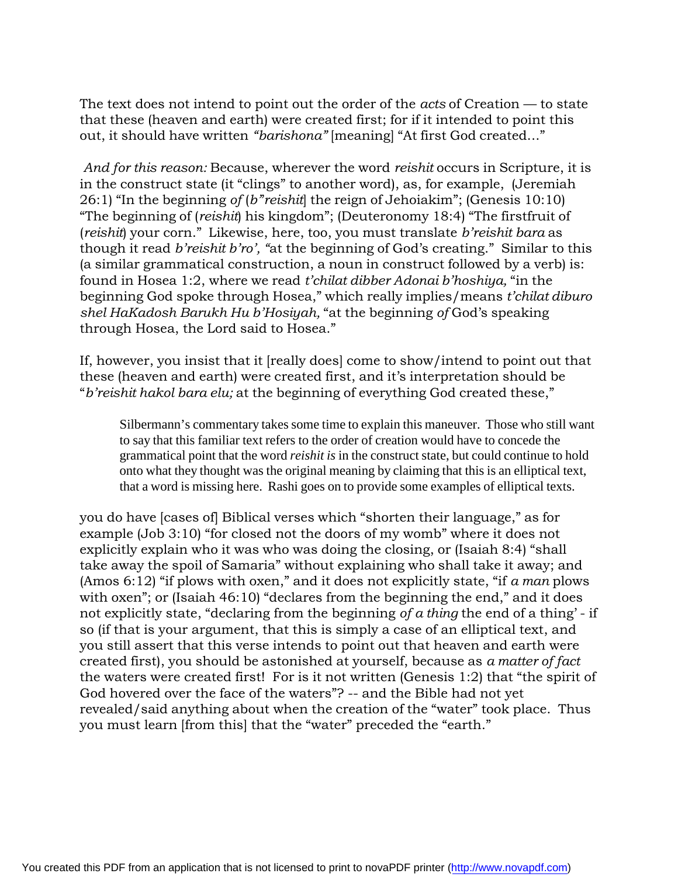The text does not intend to point out the order of the *acts* of Creation — to state that these (heaven and earth) were created first; for if it intended to point this out, it should have written *"barishona"* [meaning] "At first God created..."

*And for this reason:* Because, wherever the word *reishit* occurs in Scripture, it is in the construct state (it "clings" to another word), as, for example, (Jeremiah 26:1) "In the beginning *of* (*b'*'*reishit*] the reign of Jehoiakim"; (Genesis 10:10) "The beginning of (*reishit*) his kingdom"; (Deuteronomy 18:4) "The firstfruit of (*reishit*) your corn." Likewise, here, too, you must translate *b'reishit bara* as though it read *b'reishit b'ro', "*at the beginning of God's creating." Similar to this (a similar grammatical construction, a noun in construct followed by a verb) is: found in Hosea 1:2, where we read *t'chilat dibber Adonai b'hoshiya,* "in the beginning God spoke through Hosea," which really implies/means *t'chilat diburo shel HaKadosh Barukh Hu b'Hosiyah,* "at the beginning *of* God's speaking through Hosea, the Lord said to Hosea."

If, however, you insist that it [really does] come to show/intend to point out that these (heaven and earth) were created first, and it's interpretation should be "*b'reishit hakol bara elu;* at the beginning of everything God created these,"

Silbermann's commentary takes some time to explain this maneuver. Those who still want to say that this familiar text refers to the order of creation would have to concede the grammatical point that the word *reishit is* in the construct state, but could continue to hold onto what they thought was the original meaning by claiming that this is an elliptical text, that a word is missing here. Rashi goes on to provide some examples of elliptical texts.

you do have [cases of] Biblical verses which "shorten their language," as for example (Job 3:10) "for closed not the doors of my womb" where it does not explicitly explain who it was who was doing the closing, or (Isaiah 8:4) "shall take away the spoil of Samaria" without explaining who shall take it away; and (Amos 6:12) "if plows with oxen," and it does not explicitly state, "if *a man* plows with oxen"; or (Isaiah 46:10) "declares from the beginning the end," and it does not explicitly state, "declaring from the beginning *of a thing* the end of a thing' - if so (if that is your argument, that this is simply a case of an elliptical text, and you still assert that this verse intends to point out that heaven and earth were created first), you should be astonished at yourself, because as *a matter of fact* the waters were created first! For is it not written (Genesis 1:2) that "the spirit of God hovered over the face of the waters"? -- and the Bible had not yet revealed/said anything about when the creation of the "water" took place. Thus you must learn [from this] that the "water" preceded the "earth."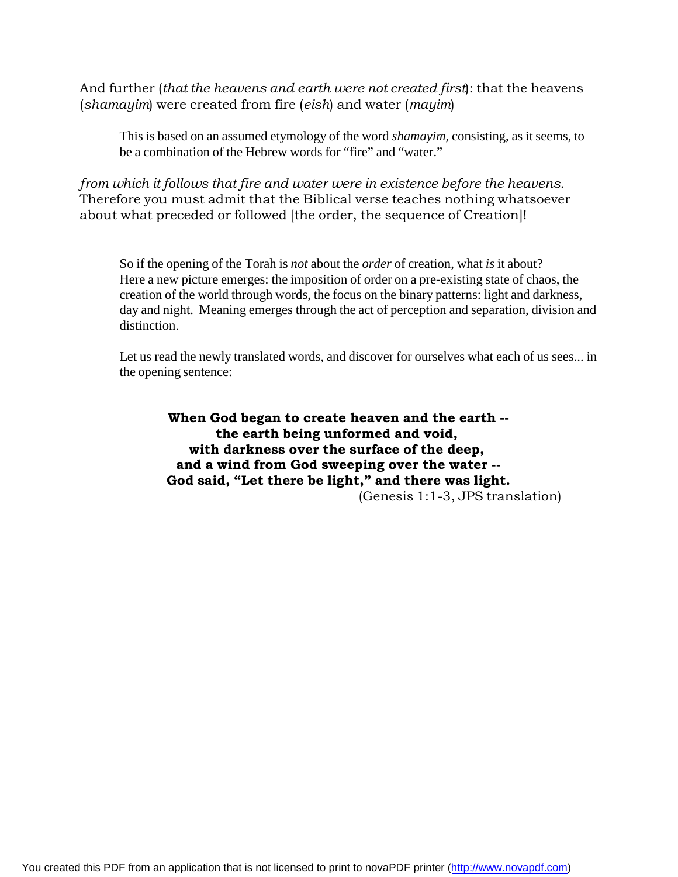And further (*that the heavens and earth were not created first*): that the heavens (*shamayim*) were created from fire (*eish*) and water (*mayim*)

This is based on an assumed etymology of the word *shamayim,* consisting, as it seems, to be a combination of the Hebrew words for "fire" and "water."

*from which it follows that fire and water were in existence before the heavens.* Therefore you must admit that the Biblical verse teaches nothing whatsoever about what preceded or followed [the order, the sequence of Creation]!

So if the opening of the Torah is *not* about the *order* of creation, what *is* it about? Here a new picture emerges: the imposition of order on a pre-existing state of chaos, the creation of the world through words, the focus on the binary patterns: light and darkness, day and night. Meaning emerges through the act of perception and separation, division and distinction.

Let us read the newly translated words, and discover for ourselves what each of us sees... in the opening sentence:

**When God began to create heaven and the earth - the earth being unformed and void, with darkness over the surface of the deep, and a wind from God sweeping over the water -- God said, "Let there be light," and there was light.** (Genesis 1:1-3, JPS translation)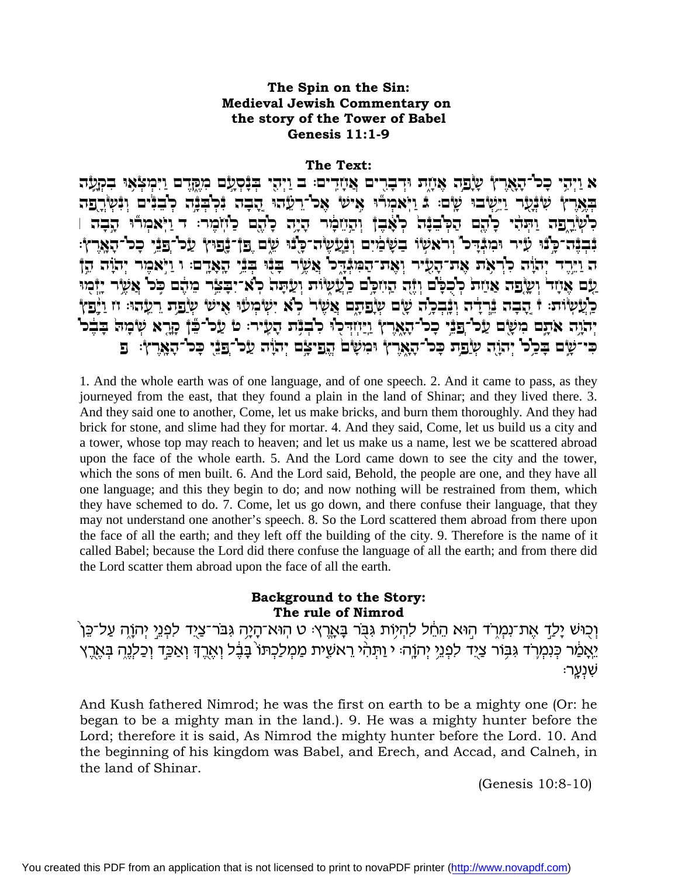## The Spin on the Sin: **Medieval Jewish Commentary on** the story of the Tower of Babel Genesis  $11:1-9$

#### The Text:

א וַיִּהִי כַּל־הָאֲרָץ שַׂבַה אַוֹזִת וּדִבְרִים אַוֹזֵדִים: ב וַיִּהֵי בִּנְסָעָם מְקַדֵּם וַיִּמִצְאוּ בִקְעָה באֵרץ שִׁבְּנָר וַיֵּשִׂבוּ שָׂם: בּ וַיְאמְרֹוּ אֵישׁ אֵכ<sup>ו-</sup>רָעֵׂהוּ הָבָה בְּלְבְּבָּה לְבָבִּים וְבָּשְׂרְפַה לִשְׂרֵפֵה וַתְּהִי כְיָהֶם הַכְּיַבְּדָּה כְאָבֶ† וְהָיָזִפְוֹר הָיָה כָיָהֵם כַיְזִוֹמֵר: ד וַיִּאמִרי הַבִּה ו *ְ*בְּבֵּה ּכַּבֿוּ עַ֫יר וּמִבְּדִּכוּ וְרֹאשִׂוּ בַשָּׁמַ֫יִם וְבַּ֫עֲשֶׂה־כָּלֵוּ עֵלֶם פֵן בָּבִי עַכ<sup>ו</sup>-פַבִּי כִּכו<sup>-</sup>הָאֶרְץ: ה וַיֵּרֶד יְהֹוֶה כְּרְאָת אֶת־הָעִיר וְאֶת־הַמִּנְדֶכו אֲשֶׂר בְּנִי בְּנֵי הָאָדֶם: וּ וַיְּאמֶר יְהוָה הֵן עם אַיזַד וְשַׂבַּה אַיַזַת לְכְלַם וְיָה הָיִזְכַם כַאֲשָׂוֹת וְעָתָּה לְאִ־יִבְצֶר מִהָם כִּל אֲשֶׂר יַיָּמִי כַּעֲשְׂוֹת: † הָבָה בֵּרְדָה וְבָבְכָה שָׁם שְׂפַתָם אֲשָׂר כָא יִשְׂמְעֹוּ אִישׂ שְׂפַת רַעָהוּ: זז וַיַּפַץ יְהֹוֶה אִתָם מִשָּׂם עַל־פַּבֵּי כְל־הָאֶרֶץ וַיַּיְזְדְּלִוּ לִבְבָּת הָעָיר: טֹ עַל־בֶּךָ קָרֶא שְׂמִה בָּבִל כִּי־שָׂם בִּכְל יְהוָה שְׂפַת כִּל־הָאֶרֶץ וּמִשָּׁם הֲפִיצָם יִהוֹה עַל־פַּנִי כַּל־הַאֲרֶץ: פ

1. And the whole earth was of one language, and of one speech. 2. And it came to pass, as they journeyed from the east, that they found a plain in the land of Shinar; and they lived there. 3. And they said one to another, Come, let us make bricks, and burn them thoroughly. And they had brick for stone, and slime had they for mortar. 4. And they said, Come, let us build us a city and a tower, whose top may reach to heaven; and let us make us a name, lest we be scattered abroad upon the face of the whole earth. 5. And the Lord came down to see the city and the tower, which the sons of men built. 6. And the Lord said, Behold, the people are one, and they have all one language; and this they begin to do; and now nothing will be restrained from them, which they have schemed to do. 7. Come, let us go down, and there confuse their language, that they may not understand one another's speech. 8. So the Lord scattered them abroad from there upon the face of all the earth; and they left off the building of the city. 9. Therefore is the name of it called Babel; because the Lord did there confuse the language of all the earth; and from there did the Lord scatter them abroad upon the face of all the earth.

### **Background to the Story:** The rule of Nimrod

וְכְוּשׁ יַלְדָ אֶת־נְמְרֹד הִוּא הֶחֶל לְהִיוֹת גִּבְּר בַּאֲרֵץ: ט הִוּא־הַיַּה גִּבֹּר־צַיֵּד לִפְנֵי יִהְוַה עַל־כֵּן ´ יֵאֲמַ֫ר כְּנִמְרֹֽד גִּבְּוֹר צַיֻד לִפְנֵי יְהוֳֹה׃ י וַתְּהִ֫י רֵאשָׁית מַמְלַכְתּוֹ בָּבֶ֫ל וְאֶרֶדְ וְאַכְּד וְכַלְנֶהְ בְּאֶרֶץ ֹשָׁנָעֲר׃

And Kush fathered Nimrod; he was the first on earth to be a mighty one (Or: he began to be a mighty man in the land.). 9. He was a mighty hunter before the Lord; therefore it is said, As Nimrod the mighty hunter before the Lord. 10. And the beginning of his kingdom was Babel, and Erech, and Accad, and Calneh, in the land of Shinar.

(Genesis  $10:8-10$ )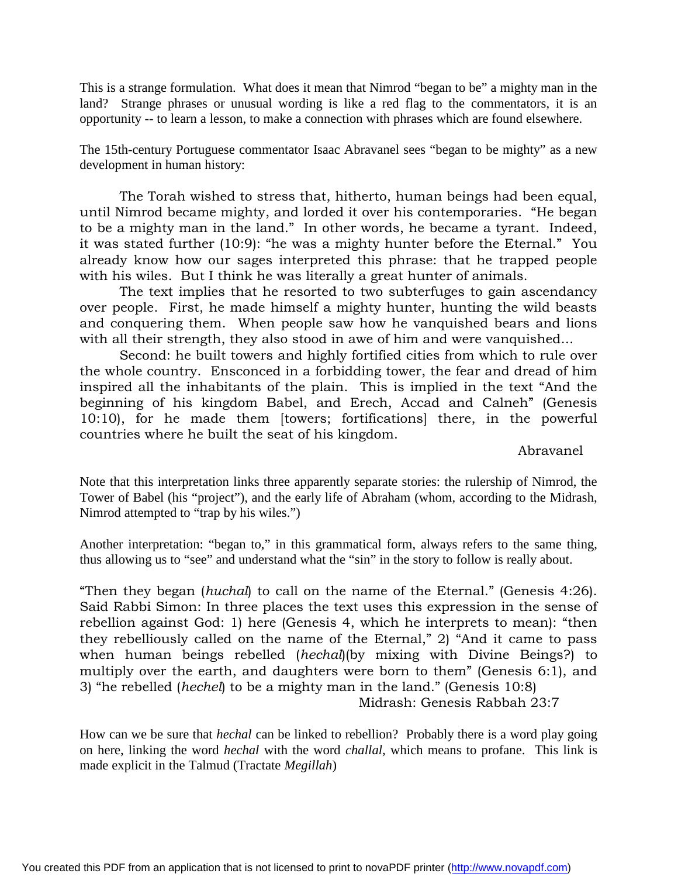This is a strange formulation. What does it mean that Nimrod "began to be" a mighty man in the land? Strange phrases or unusual wording is like a red flag to the commentators, it is an opportunity -- to learn a lesson, to make a connection with phrases which are found elsewhere.

The 15th-century Portuguese commentator Isaac Abravanel sees "began to be mighty" as a new development in human history:

The Torah wished to stress that, hitherto, human beings had been equal, until Nimrod became mighty, and lorded it over his contemporaries. "He began to be a mighty man in the land." In other words, he became a tyrant. Indeed, it was stated further (10:9): "he was a mighty hunter before the Eternal." You already know how our sages interpreted this phrase: that he trapped people with his wiles. But I think he was literally a great hunter of animals.

The text implies that he resorted to two subterfuges to gain ascendancy over people. First, he made himself a mighty hunter, hunting the wild beasts and conquering them. When people saw how he vanquished bears and lions with all their strength, they also stood in awe of him and were vanquished...

Second: he built towers and highly fortified cities from which to rule over the whole country. Ensconced in a forbidding tower, the fear and dread of him inspired all the inhabitants of the plain. This is implied in the text "And the beginning of his kingdom Babel, and Erech, Accad and Calneh" (Genesis 10:10), for he made them [towers; fortifications] there, in the powerful countries where he built the seat of his kingdom.

Abravanel

Note that this interpretation links three apparently separate stories: the rulership of Nimrod, the Tower of Babel (his "project"), and the early life of Abraham (whom, according to the Midrash, Nimrod attempted to "trap by his wiles.")

Another interpretation: "began to," in this grammatical form, always refers to the same thing, thus allowing us to "see" and understand what the "sin" in the story to follow is really about.

"Then they began (*huchal*) to call on the name of the Eternal." (Genesis 4:26). Said Rabbi Simon: In three places the text uses this expression in the sense of rebellion against God: 1) here (Genesis 4, which he interprets to mean): "then they rebelliously called on the name of the Eternal," 2) "And it came to pass when human beings rebelled (*hechal*)(by mixing with Divine Beings?) to multiply over the earth, and daughters were born to them" (Genesis 6:1), and 3) "he rebelled (*hechel*) to be a mighty man in the land." (Genesis 10:8) Midrash: Genesis Rabbah 23:7

How can we be sure that *hechal* can be linked to rebellion? Probably there is a word play going on here, linking the word *hechal* with the word *challal,* which means to profane. This link is made explicit in the Talmud (Tractate *Megillah*)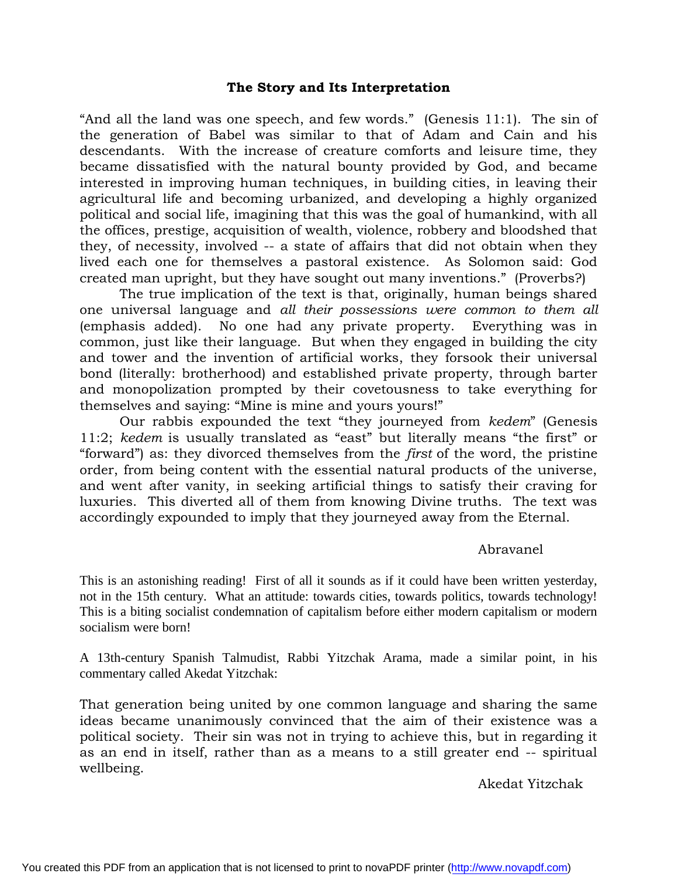## **The Story and Its Interpretation**

"And all the land was one speech, and few words." (Genesis 11:1). The sin of the generation of Babel was similar to that of Adam and Cain and his descendants. With the increase of creature comforts and leisure time, they became dissatisfied with the natural bounty provided by God, and became interested in improving human techniques, in building cities, in leaving their agricultural life and becoming urbanized, and developing a highly organized political and social life, imagining that this was the goal of humankind, with all the offices, prestige, acquisition of wealth, violence, robbery and bloodshed that they, of necessity, involved -- a state of affairs that did not obtain when they lived each one for themselves a pastoral existence. As Solomon said: God created man upright, but they have sought out many inventions." (Proverbs?)

The true implication of the text is that, originally, human beings shared one universal language and *all their possessions were common to them all* (emphasis added). No one had any private property. Everything was in common, just like their language. But when they engaged in building the city and tower and the invention of artificial works, they forsook their universal bond (literally: brotherhood) and established private property, through barter and monopolization prompted by their covetousness to take everything for themselves and saying: "Mine is mine and yours yours!"

Our rabbis expounded the text "they journeyed from *kedem*" (Genesis 11:2; *kedem* is usually translated as "east" but literally means "the first" or "forward") as: they divorced themselves from the *first* of the word, the pristine order, from being content with the essential natural products of the universe, and went after vanity, in seeking artificial things to satisfy their craving for luxuries. This diverted all of them from knowing Divine truths. The text was accordingly expounded to imply that they journeyed away from the Eternal.

### Abravanel

This is an astonishing reading! First of all it sounds as if it could have been written yesterday, not in the 15th century. What an attitude: towards cities, towards politics, towards technology! This is a biting socialist condemnation of capitalism before either modern capitalism or modern socialism were born!

A 13th-century Spanish Talmudist, Rabbi Yitzchak Arama, made a similar point, in his commentary called Akedat Yitzchak:

That generation being united by one common language and sharing the same ideas became unanimously convinced that the aim of their existence was a political society. Their sin was not in trying to achieve this, but in regarding it as an end in itself, rather than as a means to a still greater end -- spiritual wellbeing.

Akedat Yitzchak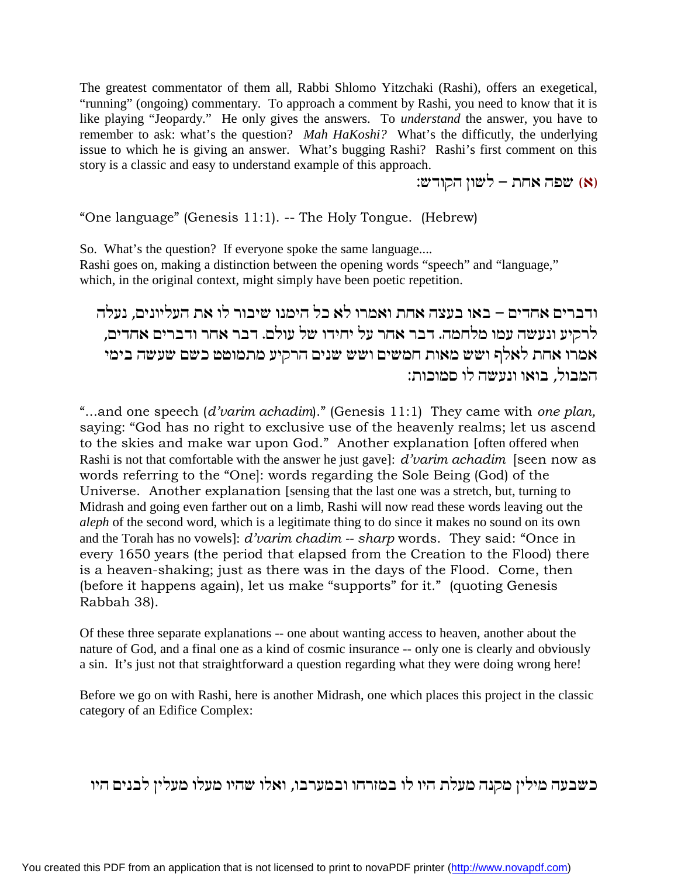The greatest commentator of them all, Rabbi Shlomo Yitzchaki (Rashi), offers an exegetical, "running" (ongoing) commentary. To approach a comment by Rashi, you need to know that it is like playing "Jeopardy." He only gives the answers. To *understand* the answer, you have to remember to ask: what's the question? *Mah HaKoshi?* What's the difficutly, the underlying issue to which he is giving an answer. What's bugging Rashi? Rashi's first comment on this story is a classic and easy to understand example of this approach.

(א) שפה אחת – לשון הקודש:

"One language" (Genesis 11:1). -- The Holy Tongue. (Hebrew)

So. What's the question? If everyone spoke the same language.... Rashi goes on, making a distinction between the opening words "speech" and "language," which, in the original context, might simply have been poetic repetition.

ודברים אחדים – באו בעצה אחת ואמרו לא כל הימנו שיבור לו את העליונים, נעלה לרקיע ונעשה עמו מלחמה. דבר אחר על יחידו של עולם. דבר אחר ודברים אחדים, אמרו אחת לאלף ושש מאות חמשים ושש שנים הרקיע מתמוטט כשם שעשה בימי המבול, בואו ונעשה לו סמוכות:

"...and one speech (*d'varim achadim*)." (Genesis 11:1) They came with *one plan,* saying: "God has no right to exclusive use of the heavenly realms; let us ascend to the skies and make war upon God." Another explanation [often offered when Rashi is not that comfortable with the answer he just gave]: *d'varim achadim* [seen now as words referring to the "One]: words regarding the Sole Being (God) of the Universe. Another explanation [sensing that the last one was a stretch, but, turning to Midrash and going even farther out on a limb, Rashi will now read these words leaving out the *aleph* of the second word, which is a legitimate thing to do since it makes no sound on its own and the Torah has no vowels]: *d'varim chadim -- sharp* words. They said: "Once in every 1650 years (the period that elapsed from the Creation to the Flood) there is a heaven-shaking; just as there was in the days of the Flood. Come, then (before it happens again), let us make "supports" for it." (quoting Genesis Rabbah 38).

Of these three separate explanations -- one about wanting access to heaven, another about the nature of God, and a final one as a kind of cosmic insurance -- only one is clearly and obviously a sin. It's just not that straightforward a question regarding what they were doing wrong here!

Before we go on with Rashi, here is another Midrash, one which places this project in the classic category of an Edifice Complex:

כשבעה מילין מקנה מעלת היו לו במזרחו ובמערבו, ואלו שהיו מעלו מעלין לבנים היו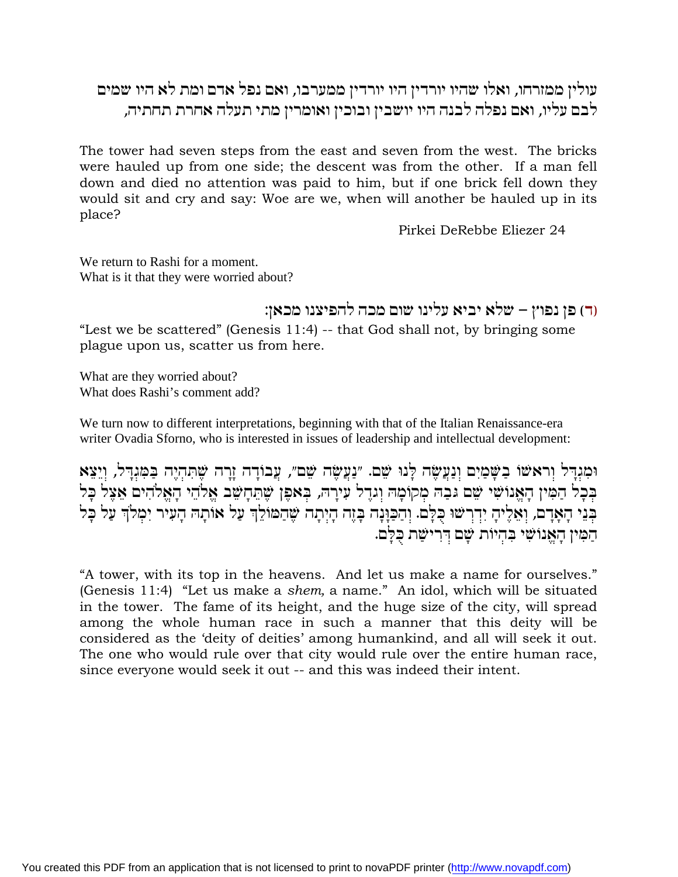## עולין ממזרחו, ואלו שהיו יורדין היו יורדין ממערבו, ואם נפל אדם ומת לא היו שמים לבם עליו, ואם נפלה לבנה היו יושבין ובוכין ואומרין מתי תעלה אחרת תחתיה,

The tower had seven steps from the east and seven from the west. The bricks were hauled up from one side; the descent was from the other. If a man fell down and died no attention was paid to him, but if one brick fell down they would sit and cry and say: Woe are we, when will another be hauled up in its place?

Pirkei DeRebbe Eliezer 24

We return to Rashi for a moment. What is it that they were worried about?

ור) פן נפוץ – שלא יביא עלינו שום מכה להפיצנו מכאן:

"Lest we be scattered" (Genesis 11:4) -- that God shall not, by bringing some plague upon us, scatter us from here.

What are they worried about? What does Rashi's comment add?

We turn now to different interpretations, beginning with that of the Italian Renaissance-era writer Ovadia Sforno, who is interested in issues of leadership and intellectual development:

וּמִנְדִּל וְראשׁוֹ בַשְּׁמַיִם וְנַעֲשָׂה לְנוּ שֵׁם. ״נַעֲשָׂה שֵׁם״, עֲבוֹדָה זֶרָה שָׁתִּהְיֶה בַּמִּנְדָל, וְיֵצֵא בכל המין האנושי שם גבה מקומה וגדל עירה, באפן שתחשב אלהי האלהים אצל כל בְּנֵי הָאָדָם, וְאֵלֶיהָ יִדְרְשׁוּ כָּלָם. וְהַכַּוְנָה בָּזֶה הָיְתָה שֶׁהַמּוֹלֵךְ עַל אוּתָה הָעִיר יִמְלֹךְ עַל כָּל הַמְּין הָאֲנוֹשִׁי בְּהִיוֹת שָׁם דְּרִישָׁת בְּלֵם.

"A tower, with its top in the heavens. And let us make a name for ourselves." (Genesis 11:4) "Let us make a shem, a name." An idol, which will be situated in the tower. The fame of its height, and the huge size of the city, will spread among the whole human race in such a manner that this deity will be considered as the 'deity of deities' among humankind, and all will seek it out. The one who would rule over that city would rule over the entire human race, since everyone would seek it out -- and this was indeed their intent.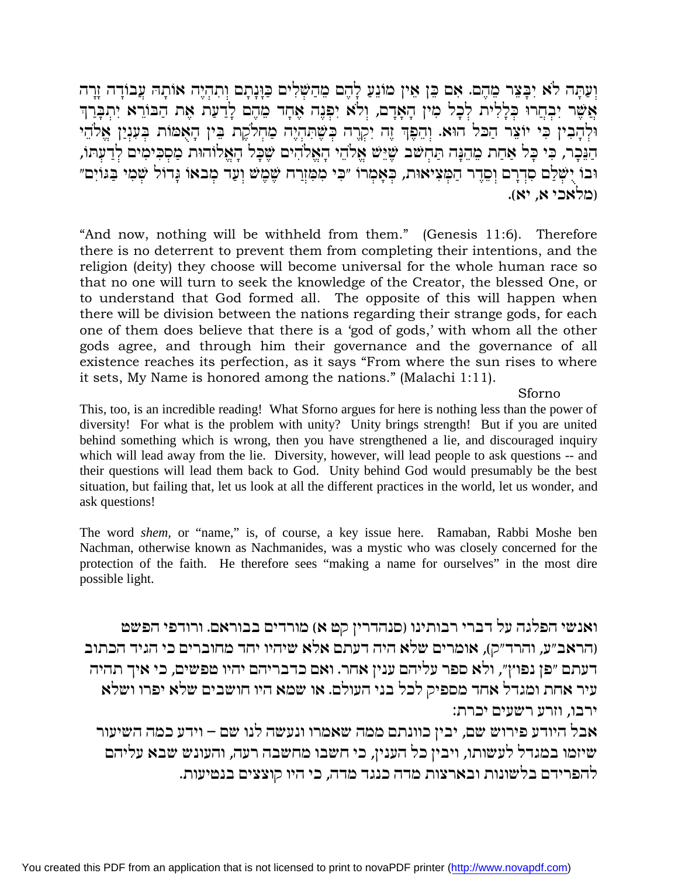וְעַתָּה לֹא יִבָּצֵר מֵהֶם. אִם כֵּן אֵין מוֹנֵעַ לָהֶם מֵהַשָּׁלִים כַּוָּנָתָם וְתִהְיֶה אוֹתָה עָבוֹדָה זֶרָה אֲשֶׁר יִבְחֲרוּ כִּלָּלִית לְכָל מְיֹן הָאֲדָם, וִלֹא יִפְּנֶה אֲחָד מֶהֶם לַדַעַת אֶת הַבּוֹרֵא יְתִבְּרַךְ וּלְהָבִין בִּי יוֹצֶר הַכּל הוּא. וְהֵפֶּךְ זֶה יִקְרֶה בִשֶּׁתְהְיֶה מַחִלֹקֶת בֵּין הָאָמוֹת בִּעָנְיַן אֱלֹהֵי הגְּבְר, כִּי כָּל אַחַת מֵהֵנָּה תַּחְשֹׁב שֶׁיֵּש אֵלֹהֵי הָאֵלֹהִים שֵׁכָּל הָאֵלוּהוּת מַסִכִּימִים לְדַעִתּו, וּבוֹ יָשְׁלַם סִדְרָם וְסֵדֶר הַמְּצִיאוּת, כִּאָמְרוֹ ״כִּי מִמְּזְרַח שֶׁמֶשׁ וְעַד מְבאוֹ גָּדוֹל שָׁמִי בַּגּוֹיִם״ ומלאכי א. יא).

"And now, nothing will be withheld from them." (Genesis 11:6). Therefore there is no deterrent to prevent them from completing their intentions, and the religion (deity) they choose will become universal for the whole human race so that no one will turn to seek the knowledge of the Creator, the blessed One, or to understand that God formed all. The opposite of this will happen when there will be division between the nations regarding their strange gods, for each one of them does believe that there is a 'god of gods,' with whom all the other gods agree, and through him their governance and the governance of all existence reaches its perfection, as it says "From where the sun rises to where it sets, My Name is honored among the nations." (Malachi 1:11).

### Sforno

This, too, is an incredible reading! What Sforno argues for here is nothing less than the power of diversity! For what is the problem with unity? Unity brings strength! But if you are united behind something which is wrong, then you have strengthened a lie, and discouraged inquiry which will lead away from the lie. Diversity, however, will lead people to ask questions -- and their questions will lead them back to God. Unity behind God would presumably be the best situation, but failing that, let us look at all the different practices in the world, let us wonder, and ask questions!

The word shem, or "name," is, of course, a key issue here. Ramaban, Rabbi Moshe ben Nachman, otherwise known as Nachmanides, was a mystic who was closely concerned for the protection of the faith. He therefore sees "making a name for ourselves" in the most dire possible light.

ואנשי הפלגה על דברי רבותינו (סנהדרין קט א) מורדים בבוראם. ורודפי הפשט (הראב״ע, והרד״ק), אומרים שלא היה דעתם אלא שיהיו יחד מחוברים כי הגיד הכתוב דעתם ״פן נפוץ״, ולא ספר עליהם ענין אחר. ואם כדבריהם יהיו טפשים, כי איך תהיה עיר אחת ומגדל אחד מספיק לכל בני העולם. או שמא היו חושבים שלא יפרו ושלא ירבו, וזרע רשעים יכרת:

אבל היודע פירוש שם, יבין כוונתם ממה שאמרו ונעשה לנו שם – וידע כמה השיעור שיזמו במגדל לעשותו, ויבין כל הענין, כי חשבו מחשבה רעה, והעונש שבא עליהם להפרידם בלשונות ובארצות מדה כנגד מדה, כי היו קוצצים בנטיעות.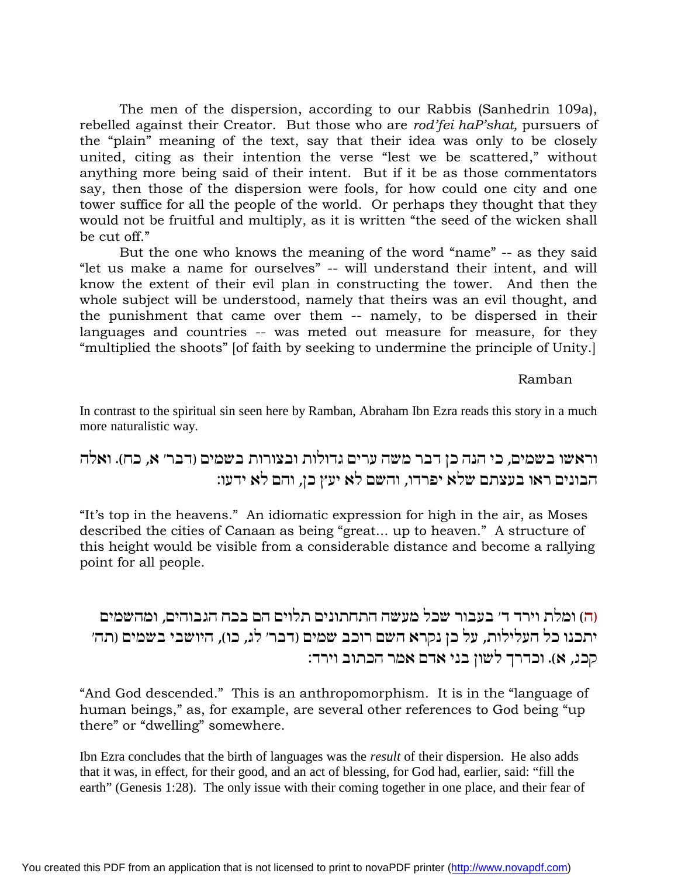The men of the dispersion, according to our Rabbis (Sanhedrin 109a), rebelled against their Creator. But those who are *rod'fei haP'shat,* pursuers of the "plain" meaning of the text, say that their idea was only to be closely united, citing as their intention the verse "lest we be scattered," without anything more being said of their intent. But if it be as those commentators say, then those of the dispersion were fools, for how could one city and one tower suffice for all the people of the world. Or perhaps they thought that they would not be fruitful and multiply, as it is written "the seed of the wicken shall be cut off."

But the one who knows the meaning of the word "name" -- as they said "let us make a name for ourselves" -- will understand their intent, and will know the extent of their evil plan in constructing the tower. And then the whole subject will be understood, namely that theirs was an evil thought, and the punishment that came over them -- namely, to be dispersed in their languages and countries -- was meted out measure for measure, for they "multiplied the shoots" [of faith by seeking to undermine the principle of Unity.]

### Ramban

In contrast to the spiritual sin seen here by Ramban, Abraham Ibn Ezra reads this story in a much more naturalistic way.

## וראשו בשמים, כי הנה כן דבר משה ערים גדולות ובצורות בשמים (דבר׳ א, כה). ואלה הבונים ראו בעצתם שלא יפרדו, והשם לא יעץ כן, והם לא ידעו:

"It's top in the heavens." An idiomatic expression for high in the air, as Moses described the cities of Canaan as being "great... up to heaven." A structure of this height would be visible from a considerable distance and become a rallying point for all people.

וה) ומלת וירד ד׳ בעבור שכל מעשה התחתונים תלוים הם בכח הגבוהים. ומהשמים 'תכנו כל העלילות, על כן נקרא השם רוכב שמים (דבר׳ לג, כו), היושבי בשמים (תה׳ קכג, א). וכדרך לשון בני אדם אמר הכתוב וירד:

"And God descended." This is an anthropomorphism. It is in the "language of human beings," as, for example, are several other references to God being "up there" or "dwelling" somewhere.

Ibn Ezra concludes that the birth of languages was the *result* of their dispersion. He also adds that it was, in effect, for their good, and an act of blessing, for God had, earlier, said: "fill the earth" (Genesis 1:28). The only issue with their coming together in one place, and their fear of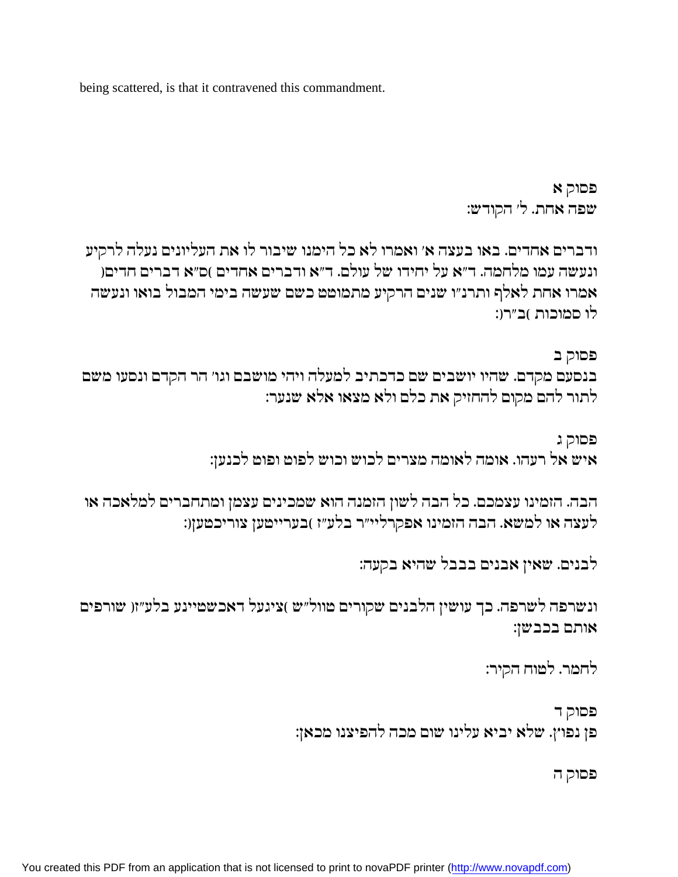being scattered, is that it contravened this commandment.

פסוק א שפה אחת. ל' הקודש:

ודברים אחדים. באו בעצה א׳ ואמרו לא כל הימנו שיבור לו את העליונים נעלה לרקיע ונעשה עמו מלחמה. ד"א על יחידו של עולם. ד"א ודברים אחדים )ס"א דברים חדים( אמרו אחת לאלף ותרנ״ו שנים הרקיע מתמוטט כשם שעשה בימי המבול בואו ונעשה לו סמוכות )ב״רו:

פסוק ב בנסעם מקדם. שהיו יושבים שם כדכתיב למעלה ויהי מושבם וגו׳ הר הקדם ונסעו משם לתור להם מקום להחזיק את כלם ולא מצאו אלא שנער:

> פסוק ג איש אל רעהו. אומה לאומה מצרים לכוש וכוש לפוט ופוט לכנען:

הבה. הזמינו עצמכם. כל הבה לשון הזמנה הוא שמכינים עצמן ומתחברים למלאכה או לעצה או למשא. הבה הזמינו אפקרליי״ר בלע״ז )בערייטען צוריכטען(:

לבנים. שאין אבנים בבבל שהיא בקעה:

ונשרפה לשרפה. כך עושין הלבנים שקורים טוול"ש )ציגעל דאכשטיינע בלע"זו שורפים אותם בכבשן:

לחמר. לטוח הקיר:

פסוק ד פן נפוץ. שלא יביא עלינו שום מכה להפיצנו מכאן:

פסוק ה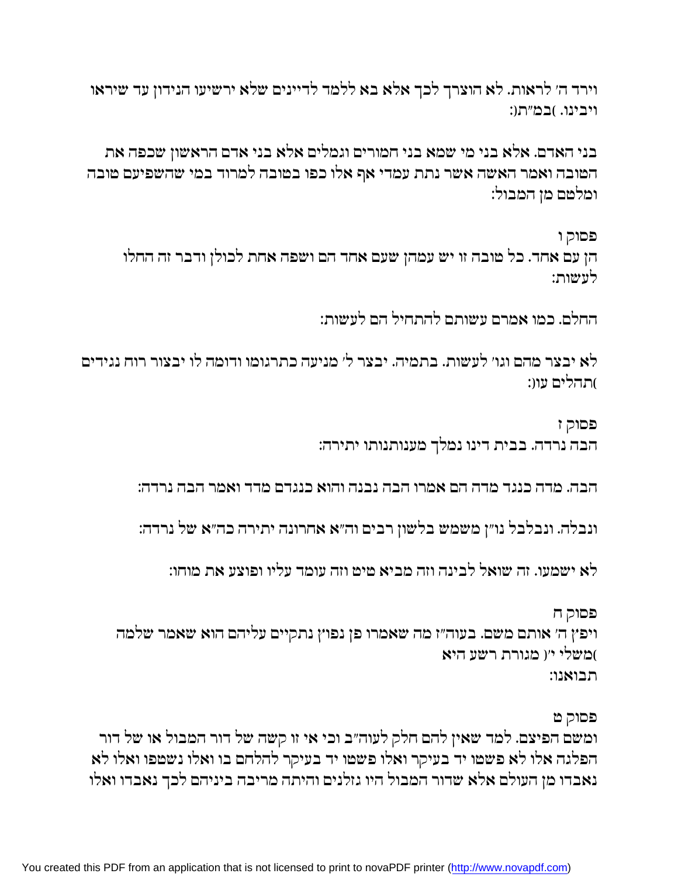וירד ה׳ לראות. לא הוצרך לכך אלא בא ללמד לדיינים שלא ירשיעו הנידון עד שיראו ויבינו. )במ״תו:

בני האדם. אלא בני מי שמא בני חמורים וגמלים אלא בני אדם הראשון שכפה את המובה ואמר האשה אשר נתת עמדי אף אלו כפו במובה למרוד במי שהשפיעם מובה ומלטם מן המבול:

פסוק ו

הן עם אחד. כל טובה זו יש עמהן שעם אחד הם ושפה אחת לכולן ודבר זה החלו לטשות:

החלם. כמו אמרם עשותם להתחיל הם לעשות:

לא יבצר מהם וגו׳ לעשות. בתמיה. יבצר ל׳ מניעה כתרגומו ודומה לו יבצור רוח נגידים )תהלים עוו:

> פסוק ז הבה נרדה. בבית דינו נמלך מענותנותו יתירה:

הבה. מדה כנגד מדה הם אמרו הבה נבנה והוא כנגדם מדד ואמר הבה נרדה:

ונבלה. ונבלבל נו״ן משמש בלשון רבים וה״א אחרונה יתירה כה״א של נרדה:

לא ישמעו. זה שואל לבינה וזה מביא מימ וזה עומד עליו ופוצע את מוחו:

פסוק ח ויפץ ה׳ אותם משם. בעוה״ז מה שאמרו פן נפוץ נתקיים עליהם הוא שאמר שלמה )משלי יו מגורת רשע היא תבואנו:

פסוק ט

ומשם הפיצם. למד שאין להם חלק לעוה״ב וכי אי זו קשה של דור המבול או של דור הפלגה אלו לא פשטו יד בעיקר ואלו פשטו יד בעיקר להלחם בו ואלו נשטפו ואלו לא נאבדו מן העולם אלא שדור המבול היו גזלנים והיתה מריבה ביניהם לכך נאבדו ואלו